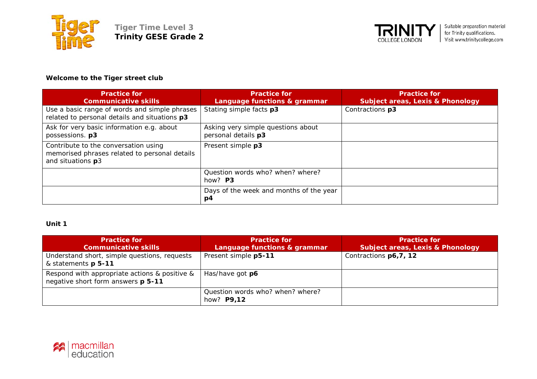



# **Welcome to the Tiger street club**

| <b>Practice for</b><br><b>Communicative skills</b>                                                         | <b>Practice for</b><br>Language functions & grammar       | <b>Practice for</b><br><b>Subject areas, Lexis &amp; Phonology</b> |
|------------------------------------------------------------------------------------------------------------|-----------------------------------------------------------|--------------------------------------------------------------------|
| Use a basic range of words and simple phrases<br>related to personal details and situations p3             | Stating simple facts p3                                   | Contractions p3                                                    |
| Ask for very basic information e.g. about<br>possessions. p3                                               | Asking very simple questions about<br>personal details p3 |                                                                    |
| Contribute to the conversation using<br>memorised phrases related to personal details<br>and situations p3 | Present simple p3                                         |                                                                    |
|                                                                                                            | Question words who? when? where?<br>how? $P3$             |                                                                    |
|                                                                                                            | Days of the week and months of the year<br>p4             |                                                                    |

### **Unit 1**

| <b>Practice for</b><br><b>Communicative skills</b>                                  | <b>Practice for</b><br>Language functions & grammar   | <b>Practice for</b><br><b>Subject areas, Lexis &amp; Phonology</b> |
|-------------------------------------------------------------------------------------|-------------------------------------------------------|--------------------------------------------------------------------|
| Understand short, simple questions, requests<br>& statements p 5-11                 | Present simple p5-11                                  | Contractions p6,7, 12                                              |
| Respond with appropriate actions & positive &<br>negative short form answers p 5-11 | Has/have got <b>p6</b>                                |                                                                    |
|                                                                                     | Question words who? when? where?<br>how? <b>P9,12</b> |                                                                    |

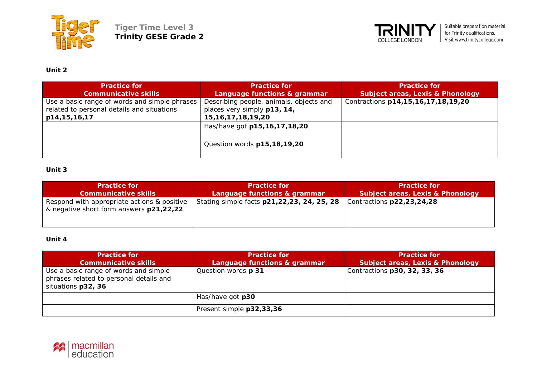



# **Unit 2**

| <b>Practice for</b><br><b>Communicative skills</b>                                                          | <b>Practice for</b><br>Language functions & grammar                                              | <b>Practice for</b><br><b>Subject areas, Lexis &amp; Phonology</b> |
|-------------------------------------------------------------------------------------------------------------|--------------------------------------------------------------------------------------------------|--------------------------------------------------------------------|
| Use a basic range of words and simple phrases<br>related to personal details and situations<br>p14,15,16,17 | Describing people, animals, objects and<br>places very simply p13, 14,<br>15, 16, 17, 18, 19, 20 | Contractions p14,15,16,17,18,19,20                                 |
|                                                                                                             | Has/have got p15,16,17,18,20                                                                     |                                                                    |
|                                                                                                             | Question words p15,18,19,20                                                                      |                                                                    |

#### **Unit 3**

| <b>Practice for</b>                                                                    | <b>Practice for</b>                        | <b>Practice for</b>                         |
|----------------------------------------------------------------------------------------|--------------------------------------------|---------------------------------------------|
| <b>Communicative skills</b>                                                            | Language functions & grammar               | <b>Subject areas, Lexis &amp; Phonology</b> |
| Respond with appropriate actions & positive<br>& negative short form answers p21,22,22 | Stating simple facts p21,22,23, 24, 25, 28 | Contractions p22,23,24,28                   |

### **Unit 4**

| <b>Practice for</b><br><b>Communicative skills</b>                                                     | <b>Practice for</b><br>Language functions & grammar | <b>Practice for</b><br><b>Subject areas, Lexis &amp; Phonology</b> |
|--------------------------------------------------------------------------------------------------------|-----------------------------------------------------|--------------------------------------------------------------------|
| Use a basic range of words and simple<br>phrases related to personal details and<br>situations p32, 36 | Question words p 31                                 | Contractions p30, 32, 33, 36                                       |
|                                                                                                        | Has/have got <b>p30</b>                             |                                                                    |
|                                                                                                        | Present simple p32,33,36                            |                                                                    |